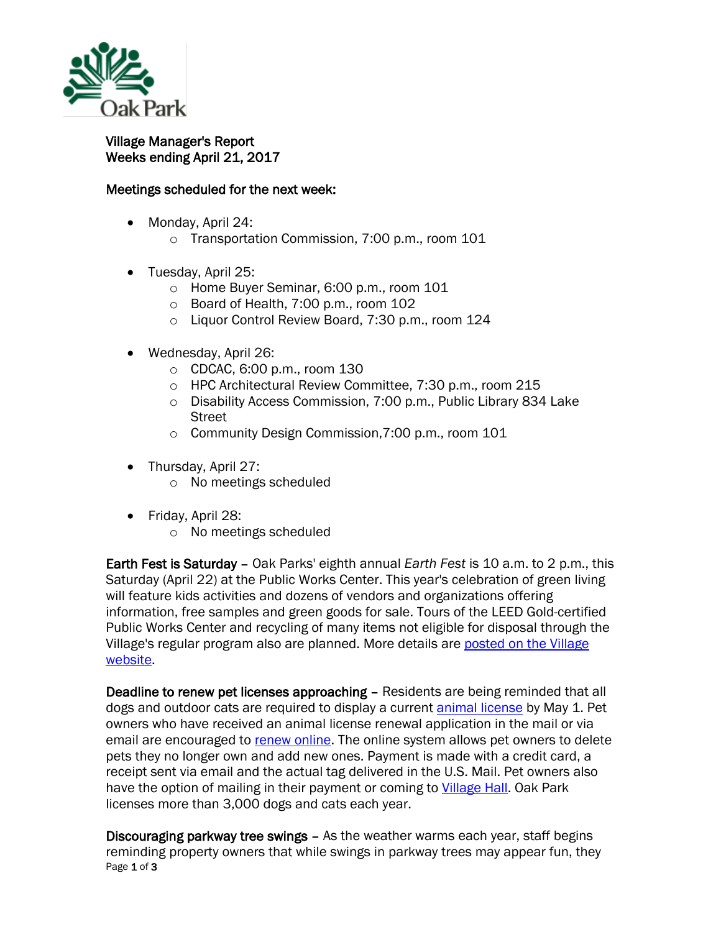

## Village Manager's Report Weeks ending April 21, 2017

## Meetings scheduled for the next week:

- Monday, April 24:
	- o Transportation Commission, 7:00 p.m., room 101
- Tuesday, April 25:
	- o Home Buyer Seminar, 6:00 p.m., room 101
	- o Board of Health, 7:00 p.m., room 102
	- o Liquor Control Review Board, 7:30 p.m., room 124
- Wednesday, April 26:
	- o CDCAC, 6:00 p.m., room 130
	- o HPC Architectural Review Committee, 7:30 p.m., room 215
	- o Disability Access Commission, 7:00 p.m., Public Library 834 Lake Street
	- o Community Design Commission,7:00 p.m., room 101
- Thursday, April 27:
	- o No meetings scheduled
- Friday, April 28:
	- o No meetings scheduled

Earth Fest is Saturday – Oak Parks' eighth annual *Earth Fest* is 10 a.m. to 2 p.m., this Saturday (April 22) at the Public Works Center. This year's celebration of green living will feature kids activities and dozens of vendors and organizations offering information, free samples and green goods for sale. Tours of the LEED Gold-certified Public Works Center and recycling of many items not eligible for disposal through the Village's regular program also are planned. More details are [posted on the Village](http://r20.rs6.net/tn.jsp?f=001lnU8Y9qwg5_rNVstiXVDqUkSVWIVOcWMiN47RvDlEqKLUrAcFAAYa-hrQGuZhe8yNYrGVP9Ul5sUfv4m79cAURKOvcBL-6O6cF7clgtasKfYLn7XLV6radQaRruMJEkfbKVOYbcuZKVCpog3yZFlwvP7SOJJxuiV_LeY6myztwCEn61-TIqFlwsbZTkl-YwkelaVLkjpNjD0umaf5ydVXgypUKkRGd6cSQD9EOKxnypUINYdwaAujLVSq5otLtgxhFveIunuminI74gjIrB_J2l1WovFL9mxJhnZXCKEeR-MJSJDzvih8eUETBsgknS_33Jgs5yb4mEfvS4-MJJZ5A==&c=fGVQR-MjZ--NM_eh_a-EenhfaCrCmSrTbzDEgB7KmrU_920_KlgOlw==&ch=E9vmusQnvPDCf8AQ89XbAO2LJsOmxPqhsrs53edf5jBPQu1KpIJlfQ==)  [website.](http://r20.rs6.net/tn.jsp?f=001lnU8Y9qwg5_rNVstiXVDqUkSVWIVOcWMiN47RvDlEqKLUrAcFAAYa-hrQGuZhe8yNYrGVP9Ul5sUfv4m79cAURKOvcBL-6O6cF7clgtasKfYLn7XLV6radQaRruMJEkfbKVOYbcuZKVCpog3yZFlwvP7SOJJxuiV_LeY6myztwCEn61-TIqFlwsbZTkl-YwkelaVLkjpNjD0umaf5ydVXgypUKkRGd6cSQD9EOKxnypUINYdwaAujLVSq5otLtgxhFveIunuminI74gjIrB_J2l1WovFL9mxJhnZXCKEeR-MJSJDzvih8eUETBsgknS_33Jgs5yb4mEfvS4-MJJZ5A==&c=fGVQR-MjZ--NM_eh_a-EenhfaCrCmSrTbzDEgB7KmrU_920_KlgOlw==&ch=E9vmusQnvPDCf8AQ89XbAO2LJsOmxPqhsrs53edf5jBPQu1KpIJlfQ==)

Deadline to renew pet licenses approaching - Residents are being reminded that all dogs and outdoor cats are required to display a current [animal license](http://r20.rs6.net/tn.jsp?f=001lnU8Y9qwg5_rNVstiXVDqUkSVWIVOcWMiN47RvDlEqKLUrAcFAAYa2COn93xwKp5K1AWEz9Jj32WI6CHoe0ef-DA02uq7cAHsk_OvCSYF-4XJ7SWRNsZjwlhQIxcA58IMgAza4Uqyo9cF-_v-1PBomPYrLqr46mKkij7pcFYiIUuZ9KBXaoSRiJHXaKn_W46wGICn7P6wRYZi-_EPs7WmpHUH7F4FCqkkZoZKXBGvf1V8eB5DqbXgt1X6gdPkvjBehLBH1wCklqLvL8C4hj2QMO6DC7eA3DZuQD338p4FCk1jvU9Ib3v-V44TOdt0LoVucuJYI_Bd9eTTdAOoCvcLYcMLXakduLv&c=fGVQR-MjZ--NM_eh_a-EenhfaCrCmSrTbzDEgB7KmrU_920_KlgOlw==&ch=E9vmusQnvPDCf8AQ89XbAO2LJsOmxPqhsrs53edf5jBPQu1KpIJlfQ==) by May 1. Pet owners who have received an animal license renewal application in the mail or via email are encouraged to [renew online.](http://r20.rs6.net/tn.jsp?f=001lnU8Y9qwg5_rNVstiXVDqUkSVWIVOcWMiN47RvDlEqKLUrAcFAAYa-hrQGuZhe8yHUiJtWbiMkhtesO4lyY0f2FDHJPwacEhMrERmvbPEMpNlUXLU-WjZtjOSNYFKAGr7uo6PTGJiLepUL_XNABQGfhaVv_mP4P5qawXcwqEC8We_NxKKKOTQhuCsybhhGi7c9gCQlDNlTZIVOsM6xypKe1HscOTKsaXE-FG_Kby-whBfESt3DlmdDEMxfwhkRAockfoiSY_K551qpNchq2XQxF8zvQTLE78ofTlBk8yySUa8IVJhUfMGg==&c=fGVQR-MjZ--NM_eh_a-EenhfaCrCmSrTbzDEgB7KmrU_920_KlgOlw==&ch=E9vmusQnvPDCf8AQ89XbAO2LJsOmxPqhsrs53edf5jBPQu1KpIJlfQ==) The online system allows pet owners to delete pets they no longer own and add new ones. Payment is made with a credit card, a receipt sent via email and the actual tag delivered in the U.S. Mail. Pet owners also have the option of mailing in their payment or coming to [Village Hall.](http://r20.rs6.net/tn.jsp?f=001lnU8Y9qwg5_rNVstiXVDqUkSVWIVOcWMiN47RvDlEqKLUrAcFAAYa9p-_mjx7Vlu50D7fB5J6QnFDreVJtxgkr-24qCNeB9Wy7CVBIweZJUeZzaPbSQoRpuPe3W3DIwe_1qcASrravDPxCmnDVUgNgnx38cusijbX8DllBM0zUWj6pTagk3ywKPnnrBWVu3Ql_SmDc1X_XnAk0WsNoeEovy1GP0W68rD-jUxNPYmiXkvjP7sH76As3WM8MmIuuvmqShbvMOh-WUOgZIbeJoFcOIp0hX4AnKNCznaVG6bU14c9QvLaP0gqRVOtzj9ywOPzb7ovKQd4ivsUW4MlxfTGg==&c=fGVQR-MjZ--NM_eh_a-EenhfaCrCmSrTbzDEgB7KmrU_920_KlgOlw==&ch=E9vmusQnvPDCf8AQ89XbAO2LJsOmxPqhsrs53edf5jBPQu1KpIJlfQ==) Oak Park licenses more than 3,000 dogs and cats each year.

Page 1 of 3 Discouraging parkway tree swings – As the weather warms each year, staff begins reminding property owners that while swings in parkway trees may appear fun, they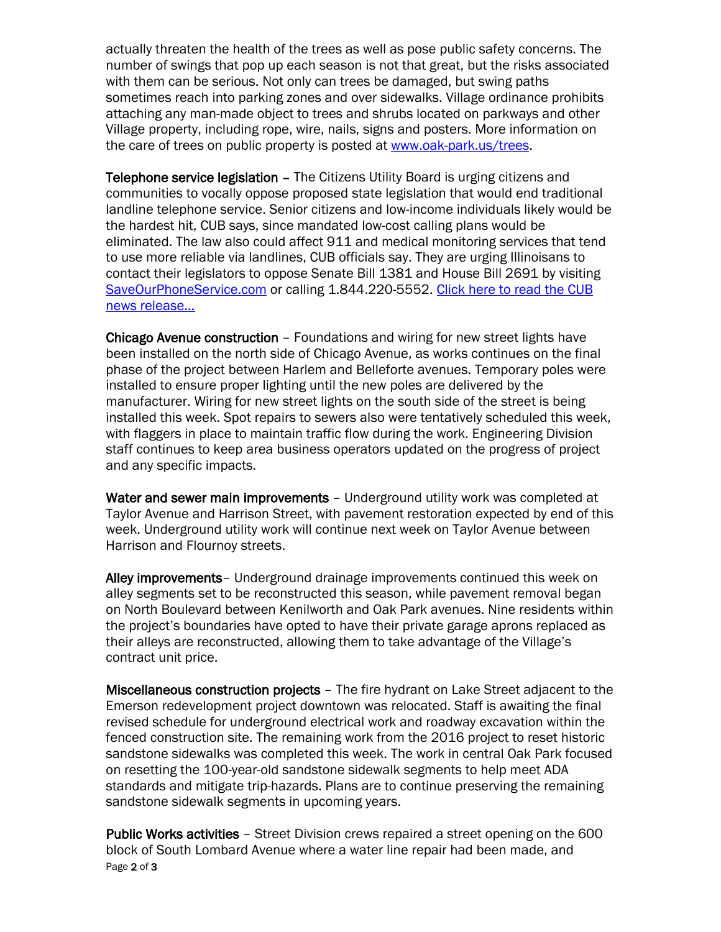actually threaten the health of the trees as well as pose public safety concerns. The number of swings that pop up each season is not that great, but the risks associated with them can be serious. Not only can trees be damaged, but swing paths sometimes reach into parking zones and over sidewalks. Village ordinance prohibits attaching any man-made object to trees and shrubs located on parkways and other Village property, including rope, wire, nails, signs and posters. More information on the care of trees on public property is posted at [www.oak-park.us/trees.](http://www.oak-park.us/trees)

Telephone service legislation – The Citizens Utility Board is urging citizens and communities to vocally oppose proposed state legislation that would end traditional landline telephone service. Senior citizens and low-income individuals likely would be the hardest hit, CUB says, since mandated low-cost calling plans would be eliminated. The law also could affect 911 and medical monitoring services that tend to use more reliable via landlines, CUB officials say. They are urging Illinoisans to contact their legislators to oppose Senate Bill 1381 and House Bill 2691 by visiting [SaveOurPhoneService.com](http://www.saveourphoneservice.com/) or calling 1.844.220-5552. Click here to read the CUB [news release…](http://www.oak-park.us/sites/default/files/456678891/2017-04-19-savephoneservice-news-release.pdf)

Chicago Avenue construction – Foundations and wiring for new street lights have been installed on the north side of Chicago Avenue, as works continues on the final phase of the project between Harlem and Belleforte avenues. Temporary poles were installed to ensure proper lighting until the new poles are delivered by the manufacturer. Wiring for new street lights on the south side of the street is being installed this week. Spot repairs to sewers also were tentatively scheduled this week, with flaggers in place to maintain traffic flow during the work. Engineering Division staff continues to keep area business operators updated on the progress of project and any specific impacts.

Water and sewer main improvements - Underground utility work was completed at Taylor Avenue and Harrison Street, with pavement restoration expected by end of this week. Underground utility work will continue next week on Taylor Avenue between Harrison and Flournoy streets.

Alley improvements - Underground drainage improvements continued this week on alley segments set to be reconstructed this season, while pavement removal began on North Boulevard between Kenilworth and Oak Park avenues. Nine residents within the project's boundaries have opted to have their private garage aprons replaced as their alleys are reconstructed, allowing them to take advantage of the Village's contract unit price.

Miscellaneous construction projects – The fire hydrant on Lake Street adjacent to the Emerson redevelopment project downtown was relocated. Staff is awaiting the final revised schedule for underground electrical work and roadway excavation within the fenced construction site. The remaining work from the 2016 project to reset historic sandstone sidewalks was completed this week. The work in central Oak Park focused on resetting the 100-year-old sandstone sidewalk segments to help meet ADA standards and mitigate trip-hazards. Plans are to continue preserving the remaining sandstone sidewalk segments in upcoming years.

Page 2 of 3 Public Works activities – Street Division crews repaired a street opening on the 600 block of South Lombard Avenue where a water line repair had been made, and